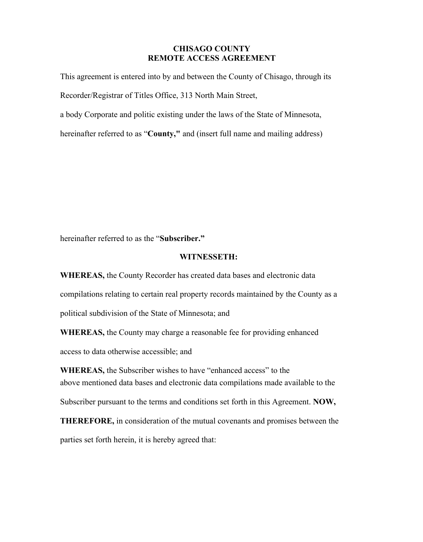## **CHISAGO COUNTY REMOTE ACCESS AGREEMENT**

This agreement is entered into by and between the County of Chisago, through its Recorder/Registrar of Titles Office, 313 North Main Street,

a body Corporate and politic existing under the laws of the State of Minnesota,

hereinafter referred to as "**County,"** and (insert full name and mailing address)

hereinafter referred to as the "**Subscriber."**

## **WITNESSETH:**

**WHEREAS,** the County Recorder has created data bases and electronic data compilations relating to certain real property records maintained by the County as a political subdivision of the State of Minnesota; and

**WHEREAS,** the County may charge a reasonable fee for providing enhanced

access to data otherwise accessible; and

**WHEREAS,** the Subscriber wishes to have "enhanced access" to the above mentioned data bases and electronic data compilations made available to the

Subscriber pursuant to the terms and conditions set forth in this Agreement. **NOW,** 

**THEREFORE,** in consideration of the mutual covenants and promises between the parties set forth herein, it is hereby agreed that: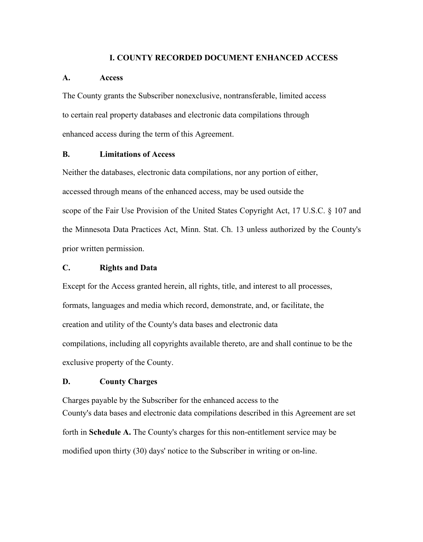## **I. COUNTY RECORDED DOCUMENT ENHANCED ACCESS**

#### **A. Access**

The County grants the Subscriber nonexclusive, nontransferable, limited access to certain real property databases and electronic data compilations through enhanced access during the term of this Agreement.

## **B. Limitations of Access**

Neither the databases, electronic data compilations, nor any portion of either, accessed through means of the enhanced access, may be used outside the scope of the Fair Use Provision of the United States Copyright Act, 17 U.S.C. § 107 and the Minnesota Data Practices Act, Minn. Stat. Ch. 13 unless authorized by the County's prior written permission.

## **C. Rights and Data**

Except for the Access granted herein, all rights, title, and interest to all processes, formats, languages and media which record, demonstrate, and, or facilitate, the creation and utility of the County's data bases and electronic data compilations, including all copyrights available thereto, are and shall continue to be the exclusive property of the County.

### **D. County Charges**

Charges payable by the Subscriber for the enhanced access to the County's data bases and electronic data compilations described in this Agreement are set forth in **Schedule A.** The County's charges for this non-entitlement service may be modified upon thirty (30) days' notice to the Subscriber in writing or on-line.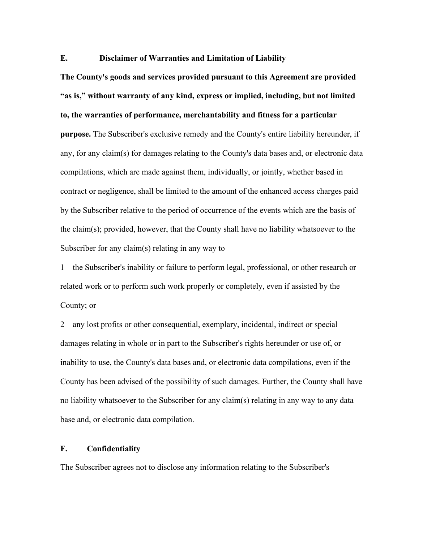## **E. Disclaimer of Warranties and Limitation of Liability**

**The County's goods and services provided pursuant to this Agreement are provided "as is," without warranty of any kind, express or implied, including, but not limited to, the warranties of performance, merchantability and fitness for a particular** 

**purpose.** The Subscriber's exclusive remedy and the County's entire liability hereunder, if any, for any claim(s) for damages relating to the County's data bases and, or electronic data compilations, which are made against them, individually, or jointly, whether based in contract or negligence, shall be limited to the amount of the enhanced access charges paid by the Subscriber relative to the period of occurrence of the events which are the basis of the claim(s); provided, however, that the County shall have no liability whatsoever to the Subscriber for any claim(s) relating in any way to

1 the Subscriber's inability or failure to perform legal, professional, or other research or related work or to perform such work properly or completely, even if assisted by the County; or

2 any lost profits or other consequential, exemplary, incidental, indirect or special damages relating in whole or in part to the Subscriber's rights hereunder or use of, or inability to use, the County's data bases and, or electronic data compilations, even if the County has been advised of the possibility of such damages. Further, the County shall have no liability whatsoever to the Subscriber for any claim(s) relating in any way to any data base and, or electronic data compilation.

#### **F. Confidentiality**

The Subscriber agrees not to disclose any information relating to the Subscriber's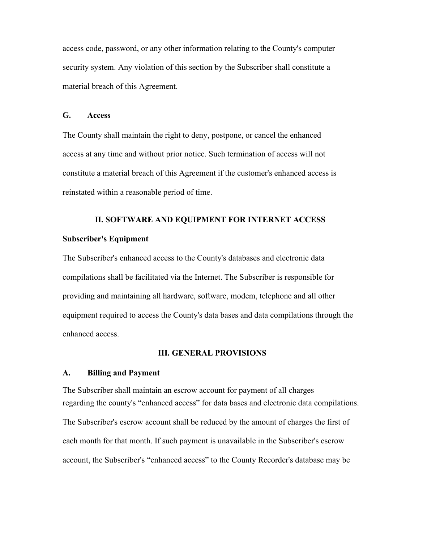access code, password, or any other information relating to the County's computer security system. Any violation of this section by the Subscriber shall constitute a material breach of this Agreement.

## **G. Access**

The County shall maintain the right to deny, postpone, or cancel the enhanced access at any time and without prior notice. Such termination of access will not constitute a material breach of this Agreement if the customer's enhanced access is reinstated within a reasonable period of time.

## **II. SOFTWARE AND EQUIPMENT FOR INTERNET ACCESS**

#### **Subscriber's Equipment**

The Subscriber's enhanced access to the County's databases and electronic data compilations shall be facilitated via the Internet. The Subscriber is responsible for providing and maintaining all hardware, software, modem, telephone and all other equipment required to access the County's data bases and data compilations through the enhanced access.

#### **III. GENERAL PROVISIONS**

#### **A. Billing and Payment**

The Subscriber shall maintain an escrow account for payment of all charges regarding the county's "enhanced access" for data bases and electronic data compilations. The Subscriber's escrow account shall be reduced by the amount of charges the first of each month for that month. If such payment is unavailable in the Subscriber's escrow account, the Subscriber's "enhanced access" to the County Recorder's database may be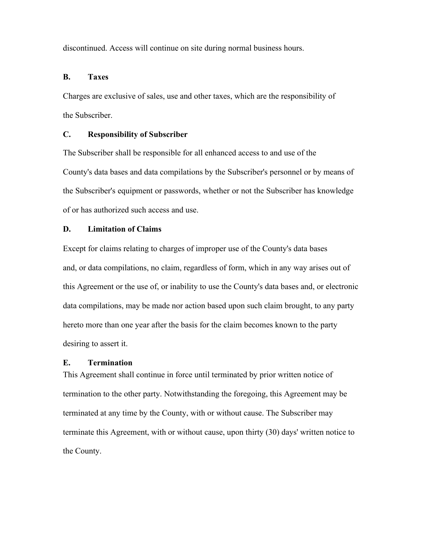discontinued. Access will continue on site during normal business hours.

#### **B. Taxes**

Charges are exclusive of sales, use and other taxes, which are the responsibility of the Subscriber.

### **C. Responsibility of Subscriber**

The Subscriber shall be responsible for all enhanced access to and use of the County's data bases and data compilations by the Subscriber's personnel or by means of the Subscriber's equipment or passwords, whether or not the Subscriber has knowledge of or has authorized such access and use.

#### **D. Limitation of Claims**

Except for claims relating to charges of improper use of the County's data bases and, or data compilations, no claim, regardless of form, which in any way arises out of this Agreement or the use of, or inability to use the County's data bases and, or electronic data compilations, may be made nor action based upon such claim brought, to any party hereto more than one year after the basis for the claim becomes known to the party desiring to assert it.

#### **E. Termination**

This Agreement shall continue in force until terminated by prior written notice of termination to the other party. Notwithstanding the foregoing, this Agreement may be terminated at any time by the County, with or without cause. The Subscriber may terminate this Agreement, with or without cause, upon thirty (30) days' written notice to the County.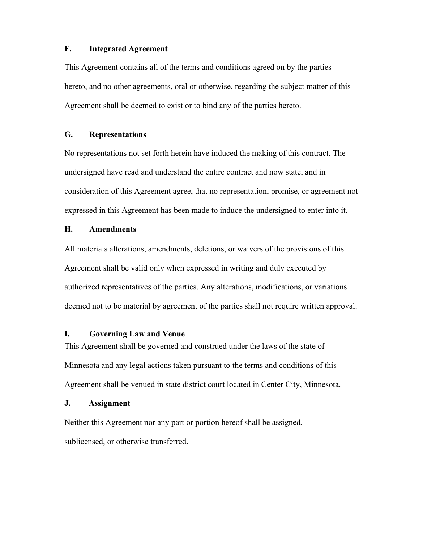## **F. Integrated Agreement**

This Agreement contains all of the terms and conditions agreed on by the parties hereto, and no other agreements, oral or otherwise, regarding the subject matter of this Agreement shall be deemed to exist or to bind any of the parties hereto.

## **G. Representations**

No representations not set forth herein have induced the making of this contract. The undersigned have read and understand the entire contract and now state, and in consideration of this Agreement agree, that no representation, promise, or agreement not expressed in this Agreement has been made to induce the undersigned to enter into it.

## **H. Amendments**

All materials alterations, amendments, deletions, or waivers of the provisions of this Agreement shall be valid only when expressed in writing and duly executed by authorized representatives of the parties. Any alterations, modifications, or variations deemed not to be material by agreement of the parties shall not require written approval.

### **I. Governing Law and Venue**

This Agreement shall be governed and construed under the laws of the state of Minnesota and any legal actions taken pursuant to the terms and conditions of this Agreement shall be venued in state district court located in Center City, Minnesota.

### **J. Assignment**

Neither this Agreement nor any part or portion hereof shall be assigned, sublicensed, or otherwise transferred.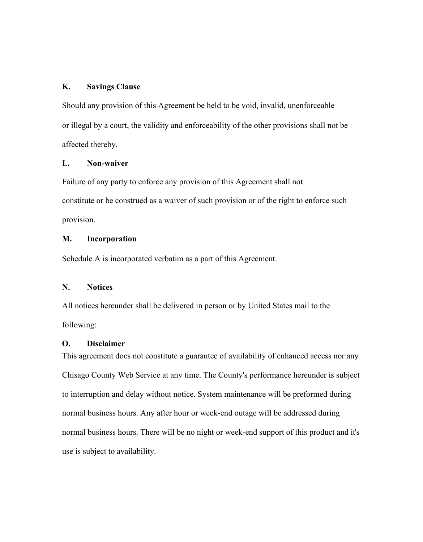## **K. Savings Clause**

Should any provision of this Agreement be held to be void, invalid, unenforceable or illegal by a court, the validity and enforceability of the other provisions shall not be affected thereby.

## **L. Non-waiver**

Failure of any party to enforce any provision of this Agreement shall not constitute or be construed as a waiver of such provision or of the right to enforce such provision.

## **M. Incorporation**

Schedule A is incorporated verbatim as a part of this Agreement.

## **N. Notices**

All notices hereunder shall be delivered in person or by United States mail to the following:

## **O. Disclaimer**

This agreement does not constitute a guarantee of availability of enhanced access nor any Chisago County Web Service at any time. The County's performance hereunder is subject to interruption and delay without notice. System maintenance will be preformed during normal business hours. Any after hour or week-end outage will be addressed during normal business hours. There will be no night or week-end support of this product and it's use is subject to availability.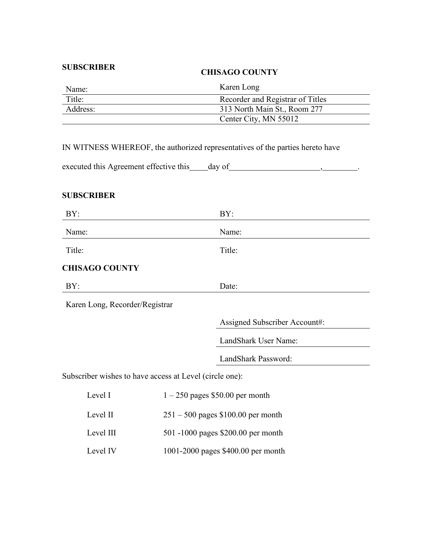## **SUBSCRIBER**

## **CHISAGO COUNTY**

| Name:    | Karen Long                       |
|----------|----------------------------------|
| Title:   | Recorder and Registrar of Titles |
| Address: | 313 North Main St., Room 277     |
|          | Center City, MN 55012            |

IN WITNESS WHEREOF, the authorized representatives of the parties hereto have

| executed this Agreement effective this _____ day of |  |  |
|-----------------------------------------------------|--|--|
|-----------------------------------------------------|--|--|

# **SUBSCRIBER**

| BY:                            | BY:                                                     |  |
|--------------------------------|---------------------------------------------------------|--|
| Name:                          | Name:                                                   |  |
| Title:                         | Title:                                                  |  |
| <b>CHISAGO COUNTY</b>          |                                                         |  |
| BY:                            | Date:                                                   |  |
| Karen Long, Recorder/Registrar |                                                         |  |
|                                | Assigned Subscriber Account#:                           |  |
|                                | LandShark User Name:                                    |  |
|                                | LandShark Password:                                     |  |
|                                | Subscriber wishes to have access at Level (circle one): |  |
| Level I                        | $1 - 250$ pages \$50.00 per month                       |  |
| Level II                       | $251 - 500$ pages \$100.00 per month                    |  |
| Level III                      | 501 -1000 pages \$200.00 per month                      |  |
| Level IV                       | 1001-2000 pages \$400.00 per month                      |  |